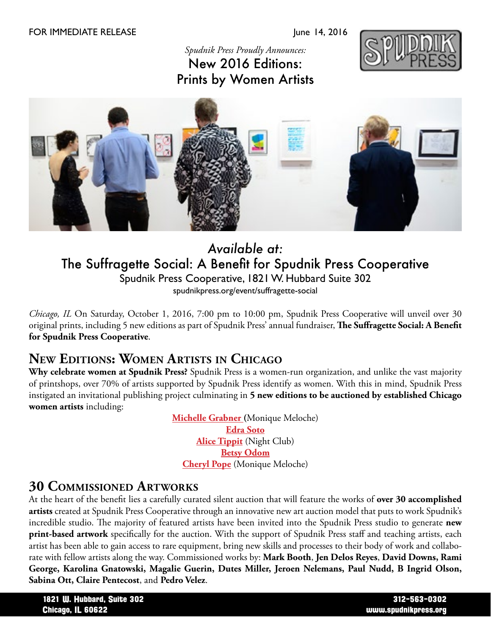#### FOR IMMEDIATE RELEASE June 14, 2016

## *Spudnik Press Proudly Announces:* New 2016 Editions: Prints by Women Artists





## *Available at:* The Suffragette Social: A Benefit for Spudnik Press Cooperative Spudnik Press Cooperative, 1821 W. Hubbard Suite 302 spudnikpress.org/event/suffragette-social

*Chicago, IL* On Saturday, October 1, 2016, 7:00 pm to 10:00 pm, Spudnik Press Cooperative will unveil over 30 original prints, including 5 new editions as part of Spudnik Press' annual fundraiser, **The Suffragette Social: A Benefit for Spudnik Press Cooperative**.

## **New Editions: Women Artists in Chicago**

**Why celebrate women at Spudnik Press?** Spudnik Press is a women-run organization, and unlike the vast majority of printshops, over 70% of artists supported by Spudnik Press identify as women. With this in mind, Spudnik Press instigated an invitational publishing project culminating in **5 new editions to be auctioned by established Chicago women artists** including:

> **[Michelle Grabner](http://www.michellegrabner.com/) (**Monique Meloche) **[Edra Soto](http://edrasoto.com/home.html) [Alice Tippit](http://www.alicetippit.com/)** (Night Club) **[Betsy Odom](http://www.betsyodom.com/) [Cheryl Pope](http://www.cherylpope.net/HOME.html)** (Monique Meloche)

### **30 Commissioned Artworks**

At the heart of the benefit lies a carefully curated silent auction that will feature the works of **over 30 accomplished artists** created at Spudnik Press Cooperative through an innovative new art auction model that puts to work Spudnik's incredible studio. The majority of featured artists have been invited into the Spudnik Press studio to generate **new print-based artwork** specifically for the auction. With the support of Spudnik Press staff and teaching artists, each artist has been able to gain access to rare equipment, bring new skills and processes to their body of work and collaborate with fellow artists along the way. Commissioned works by: **Mark Booth**, **Jen Delos Reyes**, **David Downs, Rami George, Karolina Gnatowski, Magalie Guerin, Dutes Miller, Jeroen Nelemans, Paul Nudd, B Ingrid Olson, Sabina Ott, Claire Pentecost**, and **Pedro Velez**.